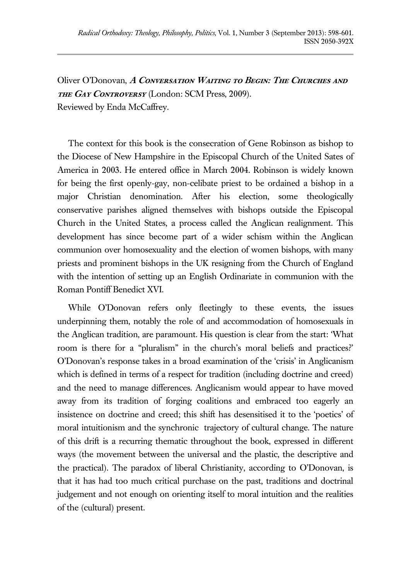Oliver O'Donovan, **A Conversation Waiting to Begin: The Churches and the Gay Controversy** (London: SCM Press, 2009). Reviewed by Enda McCaffrey.

The context for this book is the consecration of Gene Robinson as bishop to the Diocese of New Hampshire in the Episcopal Church of the United Sates of America in 2003. He entered office in March 2004. Robinson is widely known for being the first openly-gay, non-celibate priest to be ordained a bishop in a major Christian denomination. After his election, some theologically conservative parishes aligned themselves with bishops outside the Episcopal Church in the United States, a process called the Anglican realignment. This development has since become part of a wider schism within the Anglican communion over homosexuality and the election of women bishops, with many priests and prominent bishops in the UK resigning from the Church of England with the intention of setting up an English Ordinariate in communion with the Roman Pontiff Benedict XVI.

While O'Donovan refers only fleetingly to these events, the issues underpinning them, notably the role of and accommodation of homosexuals in the Anglican tradition, are paramount. His question is clear from the start: 'What room is there for a "pluralism" in the church's moral beliefs and practices?' O'Donovan's response takes in a broad examination of the 'crisis' in Anglicanism which is defined in terms of a respect for tradition (including doctrine and creed) and the need to manage differences. Anglicanism would appear to have moved away from its tradition of forging coalitions and embraced too eagerly an insistence on doctrine and creed; this shift has desensitised it to the 'poetics' of moral intuitionism and the synchronic trajectory of cultural change. The nature of this drift is a recurring thematic throughout the book, expressed in different ways (the movement between the universal and the plastic, the descriptive and the practical). The paradox of liberal Christianity, according to O'Donovan, is that it has had too much critical purchase on the past, traditions and doctrinal judgement and not enough on orienting itself to moral intuition and the realities of the (cultural) present.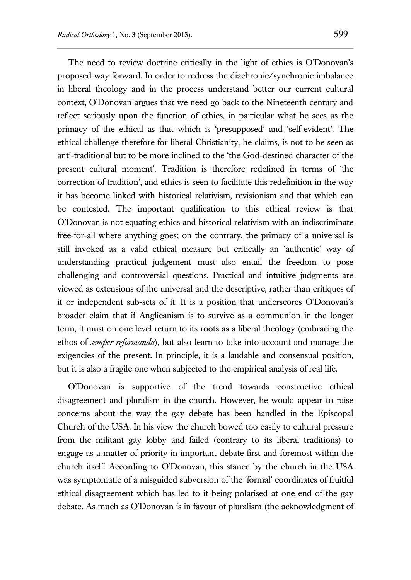The need to review doctrine critically in the light of ethics is O'Donovan's proposed way forward. In order to redress the diachronic/synchronic imbalance in liberal theology and in the process understand better our current cultural context, O'Donovan argues that we need go back to the Nineteenth century and reflect seriously upon the function of ethics, in particular what he sees as the primacy of the ethical as that which is 'presupposed' and 'self-evident'. The ethical challenge therefore for liberal Christianity, he claims, is not to be seen as anti-traditional but to be more inclined to the 'the God-destined character of the present cultural moment'. Tradition is therefore redefined in terms of 'the correction of tradition', and ethics is seen to facilitate this redefinition in the way it has become linked with historical relativism, revisionism and that which can be contested. The important qualification to this ethical review is that O'Donovan is not equating ethics and historical relativism with an indiscriminate free-for-all where anything goes; on the contrary, the primacy of a universal is still invoked as a valid ethical measure but critically an 'authentic' way of understanding practical judgement must also entail the freedom to pose challenging and controversial questions. Practical and intuitive judgments are viewed as extensions of the universal and the descriptive, rather than critiques of it or independent sub-sets of it. It is a position that underscores O'Donovan's broader claim that if Anglicanism is to survive as a communion in the longer term, it must on one level return to its roots as a liberal theology (embracing the ethos of *semper reformanda*), but also learn to take into account and manage the exigencies of the present. In principle, it is a laudable and consensual position, but it is also a fragile one when subjected to the empirical analysis of real life.

O'Donovan is supportive of the trend towards constructive ethical disagreement and pluralism in the church. However, he would appear to raise concerns about the way the gay debate has been handled in the Episcopal Church of the USA. In his view the church bowed too easily to cultural pressure from the militant gay lobby and failed (contrary to its liberal traditions) to engage as a matter of priority in important debate first and foremost within the church itself. According to O'Donovan, this stance by the church in the USA was symptomatic of a misguided subversion of the 'formal' coordinates of fruitful ethical disagreement which has led to it being polarised at one end of the gay debate. As much as O'Donovan is in favour of pluralism (the acknowledgment of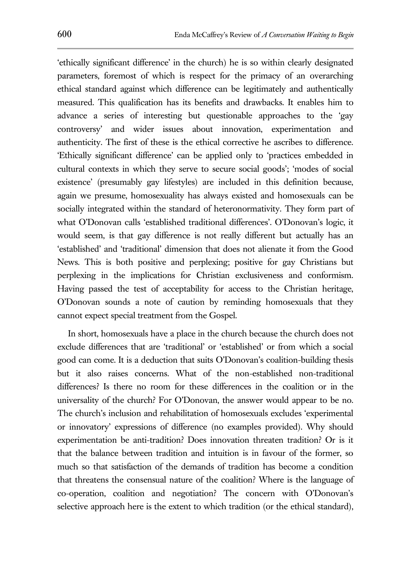'ethically significant difference' in the church) he is so within clearly designated parameters, foremost of which is respect for the primacy of an overarching ethical standard against which difference can be legitimately and authentically measured. This qualification has its benefits and drawbacks. It enables him to advance a series of interesting but questionable approaches to the 'gay controversy' and wider issues about innovation, experimentation and authenticity. The first of these is the ethical corrective he ascribes to difference. 'Ethically significant difference' can be applied only to 'practices embedded in cultural contexts in which they serve to secure social goods'; 'modes of social existence' (presumably gay lifestyles) are included in this definition because, again we presume, homosexuality has always existed and homosexuals can be socially integrated within the standard of heteronormativity. They form part of what O'Donovan calls 'established traditional differences'. O'Donovan's logic, it would seem, is that gay difference is not really different but actually has an 'established' and 'traditional' dimension that does not alienate it from the Good News. This is both positive and perplexing; positive for gay Christians but perplexing in the implications for Christian exclusiveness and conformism. Having passed the test of acceptability for access to the Christian heritage, O'Donovan sounds a note of caution by reminding homosexuals that they cannot expect special treatment from the Gospel.

In short, homosexuals have a place in the church because the church does not exclude differences that are 'traditional' or 'established' or from which a social good can come. It is a deduction that suits O'Donovan's coalition-building thesis but it also raises concerns. What of the non-established non-traditional differences? Is there no room for these differences in the coalition or in the universality of the church? For O'Donovan, the answer would appear to be no. The church's inclusion and rehabilitation of homosexuals excludes 'experimental or innovatory' expressions of difference (no examples provided). Why should experimentation be anti-tradition? Does innovation threaten tradition? Or is it that the balance between tradition and intuition is in favour of the former, so much so that satisfaction of the demands of tradition has become a condition that threatens the consensual nature of the coalition? Where is the language of co-operation, coalition and negotiation? The concern with O'Donovan's selective approach here is the extent to which tradition (or the ethical standard),